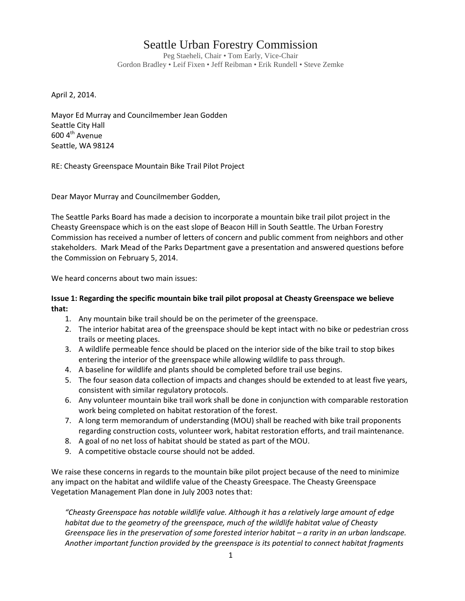## Seattle Urban Forestry Commission

Peg Staeheli, Chair • Tom Early, Vice-Chair Gordon Bradley • Leif Fixen • Jeff Reibman • Erik Rundell • Steve Zemke

April 2, 2014.

Mayor Ed Murray and Councilmember Jean Godden Seattle City Hall  $600$  4<sup>th</sup> Avenue Seattle, WA 98124

RE: Cheasty Greenspace Mountain Bike Trail Pilot Project

Dear Mayor Murray and Councilmember Godden,

The Seattle Parks Board has made a decision to incorporate a mountain bike trail pilot project in the Cheasty Greenspace which is on the east slope of Beacon Hill in South Seattle. The Urban Forestry Commission has received a number of letters of concern and public comment from neighbors and other stakeholders. Mark Mead of the Parks Department gave a presentation and answered questions before the Commission on February 5, 2014.

We heard concerns about two main issues:

## **Issue 1: Regarding the specific mountain bike trail pilot proposal at Cheasty Greenspace we believe that:**

- 1. Any mountain bike trail should be on the perimeter of the greenspace.
- 2. The interior habitat area of the greenspace should be kept intact with no bike or pedestrian cross trails or meeting places.
- 3. A wildlife permeable fence should be placed on the interior side of the bike trail to stop bikes entering the interior of the greenspace while allowing wildlife to pass through.
- 4. A baseline for wildlife and plants should be completed before trail use begins.
- 5. The four season data collection of impacts and changes should be extended to at least five years, consistent with similar regulatory protocols.
- 6. Any volunteer mountain bike trail work shall be done in conjunction with comparable restoration work being completed on habitat restoration of the forest.
- 7. A long term memorandum of understanding (MOU) shall be reached with bike trail proponents regarding construction costs, volunteer work, habitat restoration efforts, and trail maintenance.
- 8. A goal of no net loss of habitat should be stated as part of the MOU.
- 9. A competitive obstacle course should not be added.

We raise these concerns in regards to the mountain bike pilot project because of the need to minimize any impact on the habitat and wildlife value of the Cheasty Greespace. The Cheasty Greenspace Vegetation Management Plan done in July 2003 notes that:

*"Cheasty Greenspace has notable wildlife value. Although it has a relatively large amount of edge habitat due to the geometry of the greenspace, much of the wildlife habitat value of Cheasty Greenspace lies in the preservation of some forested interior habitat – a rarity in an urban landscape. Another important function provided by the greenspace is its potential to connect habitat fragments*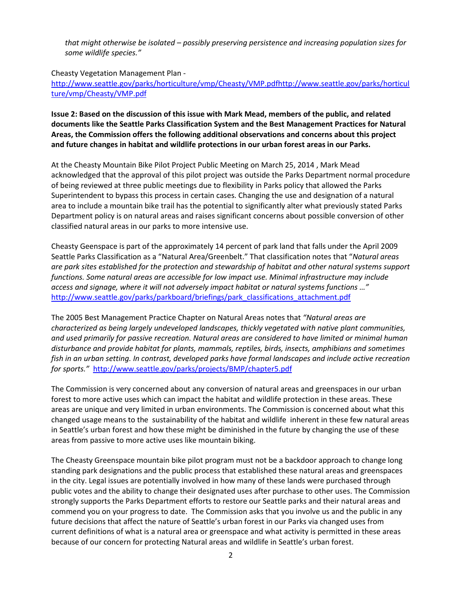*that might otherwise be isolated – possibly preserving persistence and increasing population sizes for some wildlife species."*

Cheasty Vegetation Management Plan -

[http://www.seattle.gov/parks/horticulture/vmp/Cheasty/VMP.pdfhttp://www.seattle.gov/parks/horticul](http://www.seattle.gov/parks/horticulture/vmp/Cheasty/VMP.pdfhttp:/www.seattle.gov/parks/horticulture/vmp/Cheasty/VMP.pdf) [ture/vmp/Cheasty/VMP.pdf](http://www.seattle.gov/parks/horticulture/vmp/Cheasty/VMP.pdfhttp:/www.seattle.gov/parks/horticulture/vmp/Cheasty/VMP.pdf)

**Issue 2: Based on the discussion of this issue with Mark Mead, members of the public, and related documents like the Seattle Parks Classification System and the Best Management Practices for Natural Areas, the Commission offers the following additional observations and concerns about this project and future changes in habitat and wildlife protections in our urban forest areas in our Parks.** 

At the Cheasty Mountain Bike Pilot Project Public Meeting on March 25, 2014 , Mark Mead acknowledged that the approval of this pilot project was outside the Parks Department normal procedure of being reviewed at three public meetings due to flexibility in Parks policy that allowed the Parks Superintendent to bypass this process in certain cases. Changing the use and designation of a natural area to include a mountain bike trail has the potential to significantly alter what previously stated Parks Department policy is on natural areas and raises significant concerns about possible conversion of other classified natural areas in our parks to more intensive use.

Cheasty Geenspace is part of the approximately 14 percent of park land that falls under the April 2009 Seattle Parks Classification as a "Natural Area/Greenbelt." That classification notes that "*Natural areas are park sites established for the protection and stewardship of habitat and other natural systems support functions. Some natural areas are accessible for low impact use. Minimal infrastructure may include access and signage, where it will not adversely impact habitat or natural systems functions …"* [http://www.seattle.gov/parks/parkboard/briefings/park\\_classifications\\_attachment.pdf](http://www.seattle.gov/parks/parkboard/briefings/park_classifications_attachment.pdf)

The 2005 Best Management Practice Chapter on Natural Areas notes that *"Natural areas are characterized as being largely undeveloped landscapes, thickly vegetated with native plant communities, and used primarily for passive recreation. Natural areas are considered to have limited or minimal human disturbance and provide habitat for plants, mammals, reptiles, birds, insects, amphibians and sometimes fish in an urban setting. In contrast, developed parks have formal landscapes and include active recreation for sports."*<http://www.seattle.gov/parks/projects/BMP/chapter5.pdf>

The Commission is very concerned about any conversion of natural areas and greenspaces in our urban forest to more active uses which can impact the habitat and wildlife protection in these areas. These areas are unique and very limited in urban environments. The Commission is concerned about what this changed usage means to the sustainability of the habitat and wildlife inherent in these few natural areas in Seattle's urban forest and how these might be diminished in the future by changing the use of these areas from passive to more active uses like mountain biking.

The Cheasty Greenspace mountain bike pilot program must not be a backdoor approach to change long standing park designations and the public process that established these natural areas and greenspaces in the city. Legal issues are potentially involved in how many of these lands were purchased through public votes and the ability to change their designated uses after purchase to other uses. The Commission strongly supports the Parks Department efforts to restore our Seattle parks and their natural areas and commend you on your progress to date. The Commission asks that you involve us and the public in any future decisions that affect the nature of Seattle's urban forest in our Parks via changed uses from current definitions of what is a natural area or greenspace and what activity is permitted in these areas because of our concern for protecting Natural areas and wildlife in Seattle's urban forest.